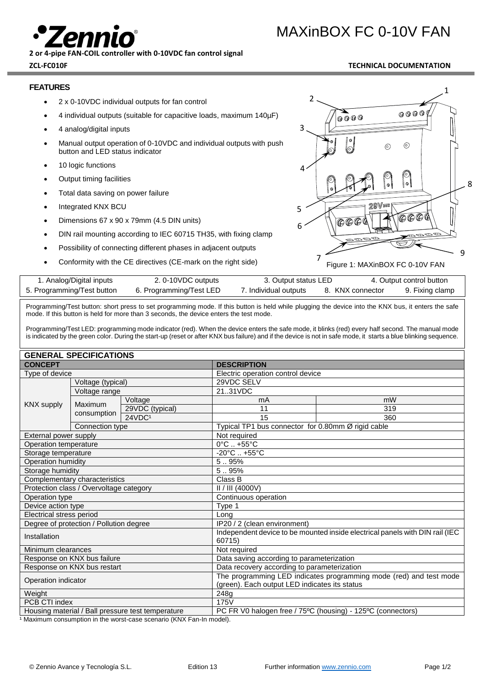MAXinBOX FC 0-10V FAN

**2 or 4-pipe FAN-COIL controller with 0-10VDC fan control signal ZCL-FC010F TECHNICAL DOCUMENTATION**

### **FEATURES**

- 2 x 0-10VDC individual outputs for fan control
- 4 individual outputs (suitable for capacitive loads, maximum 140µF)
- 4 analog/digital inputs
- Manual output operation of 0-10VDC and individual outputs with push button and LED status indicator
- 10 logic functions
- Output timing facilities
- Total data saving on power failure
- Integrated KNX BCU
- Dimensions 67 x 90 x 79mm (4.5 DIN units)
- DIN rail mounting according to IEC 60715 TH35, with fixing clamp
- Possibility of connecting different phases in adjacent outputs
- Conformity with the CE directives (CE-mark on the right side)



| 7. Individual outputs<br>5. Programming/Test button<br>8. KNX connector<br>6. Programming/Test LED | 1. Analog/Digital inputs | 2. 0-10VDC outputs | 3. Output status LED |  | 4. Output control button |                 |
|----------------------------------------------------------------------------------------------------|--------------------------|--------------------|----------------------|--|--------------------------|-----------------|
|                                                                                                    |                          |                    |                      |  |                          | 9. Fixing clamp |

Programming/Test button: short press to set programming mode. If this button is held while plugging the device into the KNX bus, it enters the safe mode. If this button is held for more than 3 seconds, the device enters the test mode.

Programming/Test LED: programming mode indicator (red). When the device enters the safe mode, it blinks (red) every half second. The manual mode is indicated by the green color. During the start-up (reset or after KNX bus failure) and if the device is not in safe mode, it starts a blue blinking sequence.

| <b>GENERAL SPECIFICATIONS</b>                     |                   |                                                                    |                                                                              |                                                             |  |  |
|---------------------------------------------------|-------------------|--------------------------------------------------------------------|------------------------------------------------------------------------------|-------------------------------------------------------------|--|--|
| <b>CONCEPT</b>                                    |                   | <b>DESCRIPTION</b>                                                 |                                                                              |                                                             |  |  |
| Type of device                                    |                   |                                                                    |                                                                              | Electric operation control device                           |  |  |
|                                                   | Voltage (typical) |                                                                    | 29VDC SELV                                                                   |                                                             |  |  |
|                                                   | Voltage range     |                                                                    | 2131VDC                                                                      |                                                             |  |  |
| <b>KNX supply</b>                                 | Maximum           | Voltage                                                            | mA                                                                           | mW                                                          |  |  |
|                                                   | consumption       | 29VDC (typical)                                                    | 11                                                                           | 319                                                         |  |  |
|                                                   |                   | 24VDC1                                                             | 15                                                                           | 360                                                         |  |  |
|                                                   | Connection type   |                                                                    |                                                                              | Typical TP1 bus connector for 0.80mm Ø rigid cable          |  |  |
| External power supply                             |                   |                                                                    | Not required                                                                 |                                                             |  |  |
| Operation temperature                             |                   |                                                                    | $0^{\circ}$ C $. +55^{\circ}$ C                                              |                                                             |  |  |
| Storage temperature                               |                   |                                                                    | $-20^{\circ}$ C  +55 $^{\circ}$ C                                            |                                                             |  |  |
| Operation humidity                                |                   | 5.95%                                                              |                                                                              |                                                             |  |  |
| Storage humidity                                  |                   |                                                                    | 5.95%                                                                        |                                                             |  |  |
| Complementary characteristics                     |                   | Class B                                                            |                                                                              |                                                             |  |  |
| Protection class / Overvoltage category           |                   |                                                                    | II / III (4000V)                                                             |                                                             |  |  |
| Operation type                                    |                   | Continuous operation                                               |                                                                              |                                                             |  |  |
| Device action type                                |                   | Type 1                                                             |                                                                              |                                                             |  |  |
| Electrical stress period                          |                   | Long                                                               |                                                                              |                                                             |  |  |
| Degree of protection / Pollution degree           |                   | IP20 / 2 (clean environment)                                       |                                                                              |                                                             |  |  |
| Installation                                      |                   |                                                                    | Independent device to be mounted inside electrical panels with DIN rail (IEC |                                                             |  |  |
|                                                   |                   |                                                                    | 60715)                                                                       |                                                             |  |  |
| Minimum clearances                                |                   | Not required                                                       |                                                                              |                                                             |  |  |
| Response on KNX bus failure                       |                   |                                                                    | Data saving according to parameterization                                    |                                                             |  |  |
| Response on KNX bus restart                       |                   | Data recovery according to parameterization                        |                                                                              |                                                             |  |  |
| Operation indicator                               |                   | The programming LED indicates programming mode (red) and test mode |                                                                              |                                                             |  |  |
|                                                   |                   | (green). Each output LED indicates its status                      |                                                                              |                                                             |  |  |
| Weight                                            |                   | 248g                                                               |                                                                              |                                                             |  |  |
| PCB CTI index                                     |                   |                                                                    | 175V                                                                         |                                                             |  |  |
| Housing material / Ball pressure test temperature |                   |                                                                    |                                                                              | PC FR V0 halogen free / 75°C (housing) - 125°C (connectors) |  |  |

<sup>1</sup> Maximum consumption in the worst-case scenario (KNX Fan-In model).